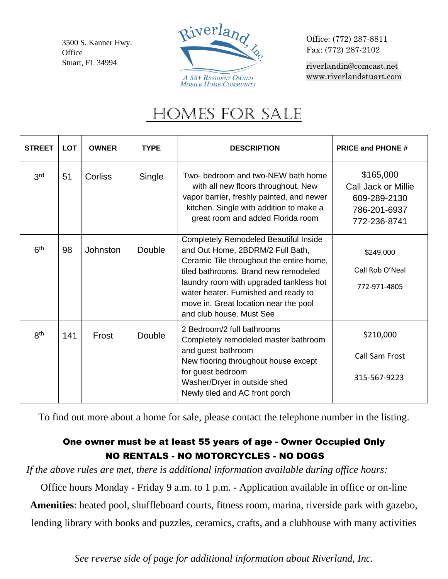3500 S. Kanner Hwy. **Office** Stuart, FL 34994



Office: (772) 287-8811 Fax: (772) 287-2102

[riverlandin@comcast.net](mailto:riverlandin@comcast.net) [www.riverlandstuart.com](http://www.riverlandstuart.com/)

## HOMES FOR SALE

| <b>STREET</b>   | <b>LOT</b> | <b>OWNER</b> | <b>TYPE</b>   | <b>DESCRIPTION</b>                                                                                                                                                                                                                                                                                                           | <b>PRICE and PHONE #</b>                                                         |
|-----------------|------------|--------------|---------------|------------------------------------------------------------------------------------------------------------------------------------------------------------------------------------------------------------------------------------------------------------------------------------------------------------------------------|----------------------------------------------------------------------------------|
| 3 <sup>rd</sup> | 51         | Corliss      | Single        | Two- bedroom and two-NEW bath home<br>with all new floors throughout. New<br>vapor barrier, freshly painted, and newer<br>kitchen. Single with addition to make a<br>great room and added Florida room                                                                                                                       | \$165,000<br>Call Jack or Millie<br>609-289-2130<br>786-201-6937<br>772-236-8741 |
| 6 <sup>th</sup> | 98         | Johnston     | <b>Double</b> | <b>Completely Remodeled Beautiful Inside</b><br>and Out Home, 2BDRM/2 Full Bath,<br>Ceramic Tile throughout the entire home,<br>tiled bathrooms. Brand new remodeled<br>laundry room with upgraded tankless hot<br>water heater. Furnished and ready to<br>move in. Great location near the pool<br>and club house. Must See | \$249,000<br>Call Rob O'Neal<br>772-971-4805                                     |
| <b>8th</b>      | 141        | Frost        | Double        | 2 Bedroom/2 full bathrooms<br>Completely remodeled master bathroom<br>and guest bathroom<br>New flooring throughout house except<br>for guest bedroom<br>Washer/Dryer in outside shed<br>Newly tiled and AC front porch                                                                                                      | \$210,000<br><b>Call Sam Frost</b><br>315-567-9223                               |

To find out more about a home for sale, please contact the telephone number in the listing.

## One owner must be at least 55 years of age - Owner Occupied Only NO RENTALS - NO MOTORCYCLES - NO DOGS

*If the above rules are met, there is additional information available during office hours:*

Office hours Monday - Friday 9 a.m. to 1 p.m. - Application available in office or on-line **Amenities**: heated pool, shuffleboard courts, fitness room, marina, riverside park with gazebo, lending library with books and puzzles, ceramics, crafts, and a clubhouse with many activities

*See reverse side of page for additional information about Riverland, Inc.*